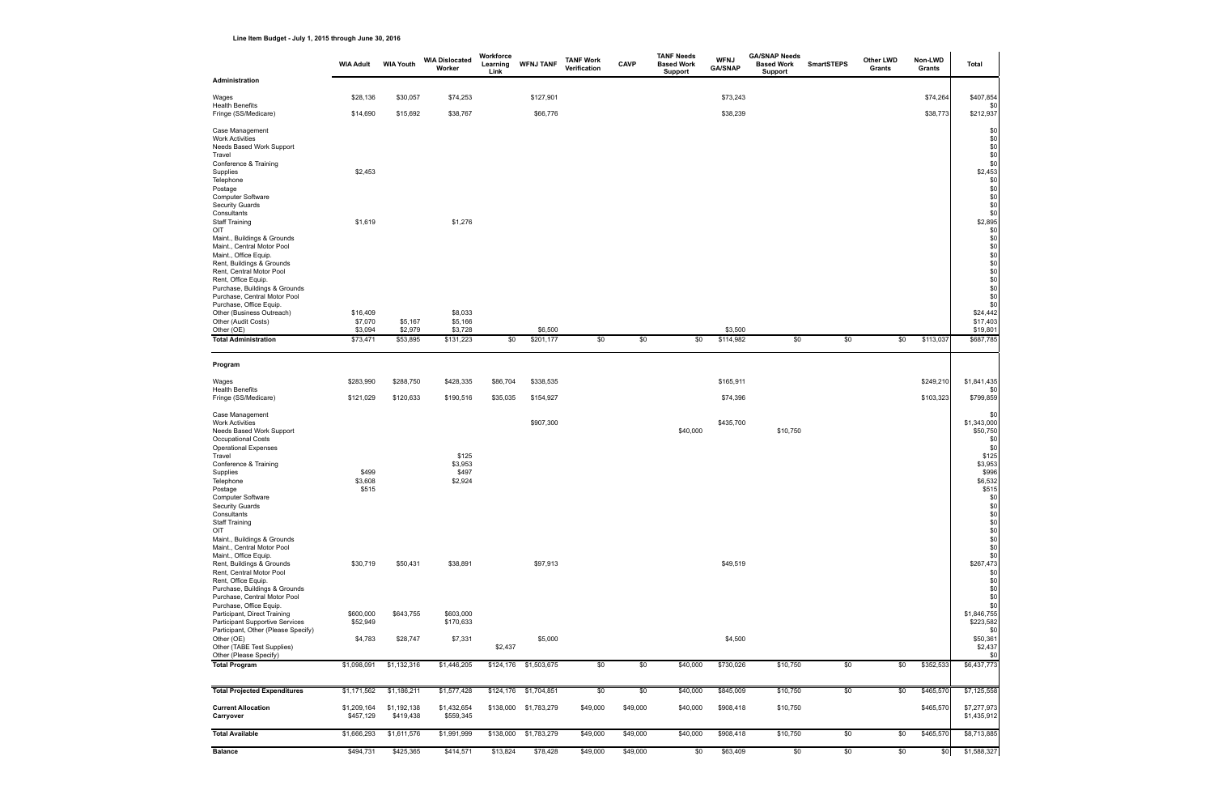**Line Item Budget - July 1, 2015 through June 30, 2016**

|                                                                                                                                                                                                                                                                                                                                                               | <b>WIA Adult</b>          | <b>WIA Youth</b>    | <b>WIA Dislocated</b><br>Worker | Workforce<br>Learning<br>Link | <b>WFNJ TANF</b>      | <b>TANF Work</b><br>Verification | <b>CAVP</b> | <b>TANF Needs</b><br><b>Based Work</b><br><b>Support</b> | <b>WFNJ</b><br><b>GA/SNAP</b> | <b>GA/SNAP Needs</b><br><b>Based Work</b><br>Support | <b>SmartSTEPS</b> | Other LWD<br>Grants | Non-LWD<br>Grants | <b>Total</b>                                                                                                                |
|---------------------------------------------------------------------------------------------------------------------------------------------------------------------------------------------------------------------------------------------------------------------------------------------------------------------------------------------------------------|---------------------------|---------------------|---------------------------------|-------------------------------|-----------------------|----------------------------------|-------------|----------------------------------------------------------|-------------------------------|------------------------------------------------------|-------------------|---------------------|-------------------|-----------------------------------------------------------------------------------------------------------------------------|
| <b>Administration</b>                                                                                                                                                                                                                                                                                                                                         |                           |                     |                                 |                               |                       |                                  |             |                                                          |                               |                                                      |                   |                     |                   |                                                                                                                             |
| Wages                                                                                                                                                                                                                                                                                                                                                         | \$28,136                  | \$30,057            | \$74,253                        |                               | \$127,901             |                                  |             |                                                          | \$73,243                      |                                                      |                   |                     | \$74,264          | \$407,854                                                                                                                   |
| <b>Health Benefits</b><br>Fringe (SS/Medicare)                                                                                                                                                                                                                                                                                                                | \$14,690                  | \$15,692            | \$38,767                        |                               | \$66,776              |                                  |             |                                                          | \$38,239                      |                                                      |                   |                     | \$38,773          | \$0<br>\$212,937                                                                                                            |
| Case Management<br><b>Work Activities</b><br>Needs Based Work Support<br>Travel<br>Conference & Training<br>Supplies<br>Telephone<br>Postage<br>Computer Software<br><b>Security Guards</b><br>Consultants<br><b>Staff Training</b><br>OIT<br>Maint., Buildings & Grounds<br>Maint., Central Motor Pool<br>Maint., Office Equip.<br>Rent, Buildings & Grounds | \$2,453<br>\$1,619        |                     | \$1,276                         |                               |                       |                                  |             |                                                          |                               |                                                      |                   |                     |                   | \$0<br>\$0<br>\$0<br>\$0<br>\$0<br>\$2,453<br>\$0<br>\$0<br>\$0<br>\$0<br>\$0<br>\$2,895<br>\$0<br>\$0<br>\$0<br>\$0<br>\$0 |
| Rent, Central Motor Pool<br>Rent, Office Equip.                                                                                                                                                                                                                                                                                                               |                           |                     |                                 |                               |                       |                                  |             |                                                          |                               |                                                      |                   |                     |                   | \$0<br>\$0                                                                                                                  |
| Purchase, Buildings & Grounds<br>Purchase, Central Motor Pool<br>Purchase, Office Equip.<br>Other (Business Outreach)<br>Other (Audit Costs)                                                                                                                                                                                                                  | \$16,409<br>\$7,070       | \$5,167             | \$8,033<br>\$5,166              |                               |                       |                                  |             |                                                          |                               |                                                      |                   |                     |                   | \$0<br>\$0<br>\$0<br>\$24,442<br>\$17,403                                                                                   |
| Other (OE)<br><b>Total Administration</b>                                                                                                                                                                                                                                                                                                                     | \$3,094<br>\$73,471       | \$2,979<br>\$53,895 | \$3,728<br>\$131,223            | \$0                           | \$6,500<br>\$201,177  | \$0                              | \$0         | \$0                                                      | \$3,500<br>\$114,982          | \$0                                                  | \$0               | \$0                 | \$113,037         | \$19,801<br>\$687,785                                                                                                       |
|                                                                                                                                                                                                                                                                                                                                                               |                           |                     |                                 |                               |                       |                                  |             |                                                          |                               |                                                      |                   |                     |                   |                                                                                                                             |
| Program                                                                                                                                                                                                                                                                                                                                                       |                           |                     |                                 |                               |                       |                                  |             |                                                          |                               |                                                      |                   |                     |                   |                                                                                                                             |
| Wages<br><b>Health Benefits</b>                                                                                                                                                                                                                                                                                                                               | \$283,990                 | \$288,750           | \$428,335                       | \$86,704                      | \$338,535             |                                  |             |                                                          | \$165,911                     |                                                      |                   |                     | \$249,210         | \$1,841,435<br>\$0                                                                                                          |
| Fringe (SS/Medicare)                                                                                                                                                                                                                                                                                                                                          | \$121,029                 | \$120,633           | \$190,516                       | \$35,035                      | \$154,927             |                                  |             |                                                          | \$74,396                      |                                                      |                   |                     | \$103,323         | \$799,859                                                                                                                   |
| Case Management<br><b>Work Activities</b><br>Needs Based Work Support<br>Occupational Costs<br><b>Operational Expenses</b><br>Travel                                                                                                                                                                                                                          |                           |                     | \$125                           |                               | \$907,300             |                                  |             | \$40,000                                                 | \$435,700                     | \$10,750                                             |                   |                     |                   | \$0<br>\$1,343,000<br>\$50,750<br>\$0<br>\$0<br>\$125                                                                       |
| Conference & Training<br>Supplies<br>Telephone<br>Postage<br>Computer Software<br><b>Security Guards</b><br>Consultants<br><b>Staff Training</b><br>OIT                                                                                                                                                                                                       | \$499<br>\$3,608<br>\$515 |                     | \$3,953<br>\$497<br>\$2,924     |                               |                       |                                  |             |                                                          |                               |                                                      |                   |                     |                   | \$3,953<br>\$996<br>\$6,532<br>\$515<br> 30 <br>\$0<br>$$^{\displaystyle 0}_{\displaystyle 90}$<br>\$0                      |
| Maint., Buildings & Grounds<br>Maint., Central Motor Pool<br>Maint., Office Equip.<br>Rent, Buildings & Grounds<br>Rent, Central Motor Pool<br>Rent, Office Equip.<br>Purchase, Buildings & Grounds<br>Purchase, Central Motor Pool<br>Purchase, Office Equip.                                                                                                | \$30,719                  | \$50,431            | \$38,891                        |                               | \$97,913              |                                  |             |                                                          | \$49,519                      |                                                      |                   |                     |                   | \$0<br>\$0<br>\$0<br>\$267,473<br>\$0<br>\$0<br>\$0<br>\$0<br>\$0                                                           |
| Participant, Direct Training<br><b>Participant Supportive Services</b><br>Participant, Other (Please Specify)                                                                                                                                                                                                                                                 | \$600,000<br>\$52,949     | \$643,755           | \$603,000<br>\$170,633          |                               |                       |                                  |             |                                                          |                               |                                                      |                   |                     |                   | \$1,846,755<br>\$223,582<br>\$0                                                                                             |
| Other (OE)<br>Other (TABE Test Supplies)                                                                                                                                                                                                                                                                                                                      | \$4,783                   | \$28,747            | \$7,331                         | \$2,437                       | \$5,000               |                                  |             |                                                          | \$4,500                       |                                                      |                   |                     |                   | \$50,361<br>\$2,437                                                                                                         |
| Other (Please Specify)<br><b>Total Program</b>                                                                                                                                                                                                                                                                                                                | \$1,098,091               | \$1,132,316         | \$1,446,205                     | \$124,176                     | \$1,503,675           | \$0                              | \$0         | \$40,000                                                 | \$730,026                     | \$10,750                                             | \$0               | \$0                 | \$352,533         | \$0<br>\$6,437,773                                                                                                          |
| <b>Total Projected Expenditures</b>                                                                                                                                                                                                                                                                                                                           | \$1,171,562               | \$1,186,211         | \$1,577,428                     |                               | \$124,176 \$1,704,851 | \$0                              | \$0         | \$40,000                                                 | \$845,009                     | \$10,750                                             | \$0               | \$0                 | \$465,570         | \$7,125,558                                                                                                                 |
| <b>Current Allocation</b>                                                                                                                                                                                                                                                                                                                                     | \$1,209,164               | \$1,192,138         | \$1,432,654                     |                               | \$138,000 \$1,783,279 | \$49,000                         | \$49,000    | \$40,000                                                 | \$908,418                     | \$10,750                                             |                   |                     | \$465,570         | \$7,277,973                                                                                                                 |
| Carryover                                                                                                                                                                                                                                                                                                                                                     | \$457,129                 | \$419,438           | \$559,345                       |                               |                       |                                  |             |                                                          |                               |                                                      |                   |                     |                   | \$1,435,912                                                                                                                 |
| <b>Total Available</b>                                                                                                                                                                                                                                                                                                                                        | \$1,666,293               | \$1,611,576         | \$1,991,999                     | \$138,000                     | \$1,783,279           | \$49,000                         | \$49,000    | \$40,000                                                 | \$908,418                     | \$10,750                                             | \$0               | \$0                 | \$465,570         | \$8,713,885                                                                                                                 |
| <b>Balance</b>                                                                                                                                                                                                                                                                                                                                                | \$494,731                 | \$425,365           | \$414,571                       | \$13,824                      | \$78,428              | \$49,000                         | \$49,000    | \$0                                                      | \$63,409                      | \$0                                                  | \$0               | \$0                 | \$0               | \$1,588,327                                                                                                                 |